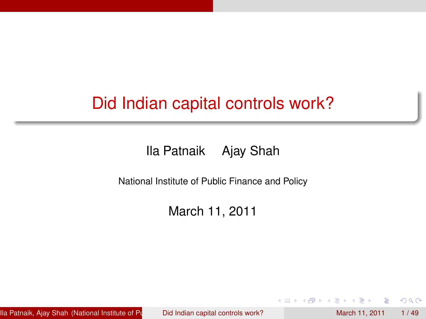# Did Indian capital controls work?

[Ila Patnaik](http://openlib.org/home/ila) [Ajay Shah](http://www.mayin.org/ajayshah)

National Institute of Public Finance and Policy

March 11, 2011

[Ila Patnaik,](http://openlib.org/home/ila) [Ajay Shah](http://www.mayin.org/ajayshah) (National Institute of Public Polic Indian capital controls work? March 11, 2011 1/ 49

<span id="page-0-0"></span> $\Omega$ 

医下环菌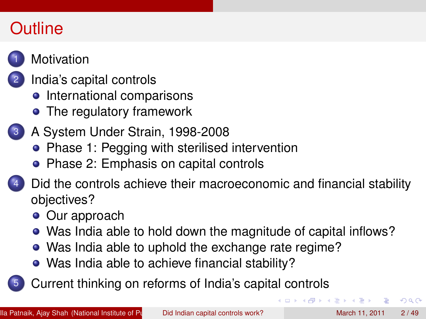# **Outline**



#### **[Motivation](#page-2-0)**

#### [India's capital controls](#page-5-0)

- **•** [International comparisons](#page-6-0)
- [The regulatory framework](#page-8-0)
- 3 [A System Under Strain, 1998-2008](#page-20-0)
	- [Phase 1: Pegging with sterilised intervention](#page-20-0)
	- [Phase 2: Emphasis on capital controls](#page-23-0)

[Did the controls achieve their macroeconomic and financial stability](#page-29-0) [objectives?](#page-29-0)

- [Our approach](#page-30-0)
- [Was India able to hold down the magnitude of capital inflows?](#page-33-0)
- [Was India able to uphold the exchange rate regime?](#page-36-0)
- [Was India able to achieve financial stability?](#page-37-0)

5 [Current thinking on reforms of India's capital controls](#page-41-0)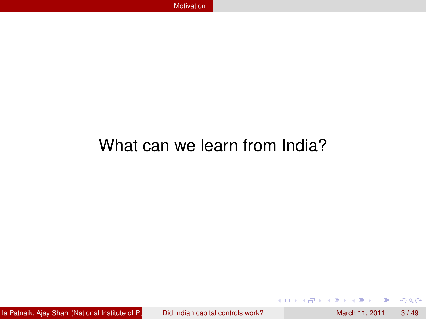# What can we learn from India?

[Ila Patnaik,](http://openlib.org/home/ila) [Ajay Shah](http://www.mayin.org/ajayshah) (National Institute of Public Finance apital controls work? March 11, 2011 3 / 49

Þ

<span id="page-2-0"></span> $299$ 

イロトメ 倒 トメ 差 トメ 差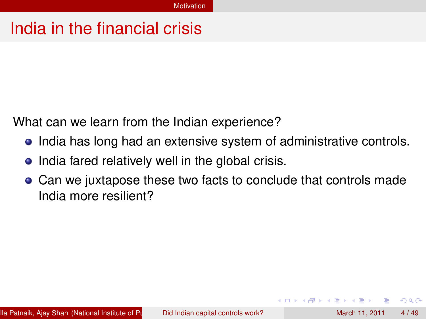### India in the financial crisis

What can we learn from the Indian experience?

- **•** India has long had an extensive system of administrative controls.
- India fared relatively well in the global crisis.
- <span id="page-3-0"></span>Can we juxtapose these two facts to conclude that controls made India more resilient?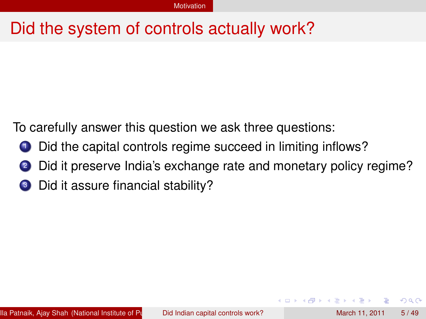### Did the system of controls actually work?

To carefully answer this question we ask three questions:

- **1** Did the capital controls regime succeed in limiting inflows?
- Did it preserve India's exchange rate and monetary policy regime?
- <span id="page-4-0"></span><sup>3</sup> Did it assure financial stability?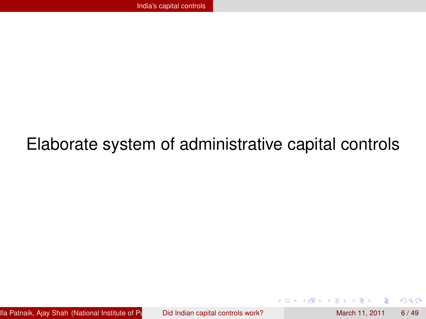# Elaborate system of administrative capital controls

[Ila Patnaik,](http://openlib.org/home/ila) [Ajay Shah](http://www.mayin.org/ajayshah) (National Institute of Public Finance apital controls work? March 11, 2011 6 / 49

4 17 18

 $\leftarrow$   $\Box$ 

<span id="page-5-0"></span>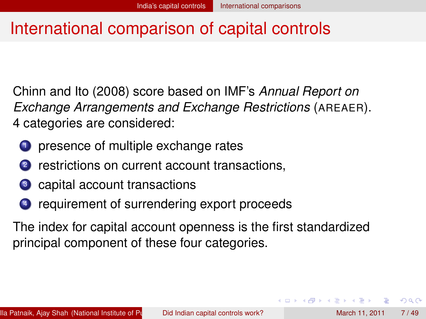### International comparison of capital controls

Chinn and Ito (2008) score based on IMF's *Annual Report on Exchange Arrangements and Exchange Restrictions* (AREAER). 4 categories are considered:

- presence of multiple exchange rates
- 2 restrictions on current account transactions,
- <sup>3</sup> capital account transactions
- <sup>4</sup> requirement of surrendering export proceeds

The index for capital account openness is the first standardized principal component of these four categories.

<span id="page-6-0"></span> $\Omega$ 

イロト イ押 トイラト イラト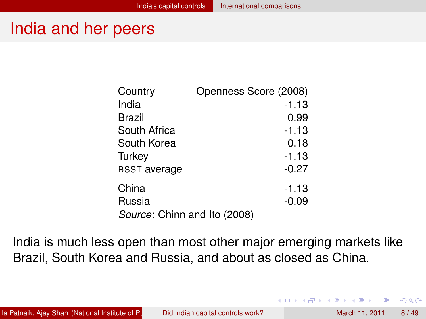#### India and her peers

| Country                      | Openness Score (2008) |
|------------------------------|-----------------------|
| India                        | $-1.13$               |
| Brazil                       | 0.99                  |
| South Africa                 | $-1.13$               |
| South Korea                  | 0.18                  |
| Turkey                       | $-1.13$               |
| <b>BSST</b> average          | $-0.27$               |
| China                        | $-1.13$               |
| Russia                       | $-0.09$               |
| Source: Chinn and Ito (2008) |                       |

India is much less open than most other major emerging markets like Brazil, South Korea and Russia, and about as closed as China.

<span id="page-7-0"></span> $\Omega$ 

医下半面

 $1.71 \times 1.71 \times$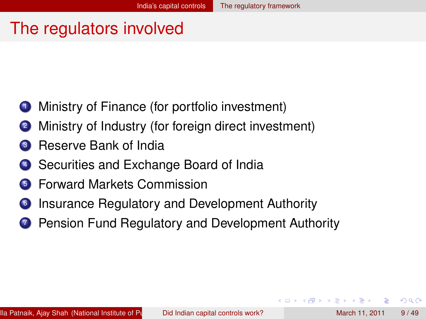### The regulators involved

- Ministry of Finance (for portfolio investment)
- Ministry of Industry (for foreign direct investment)
- **3** Reserve Bank of India
- <sup>4</sup> Securities and Exchange Board of India
- <sup>5</sup> Forward Markets Commission
- <sup>6</sup> Insurance Regulatory and Development Authority
- <span id="page-8-0"></span>**7** Pension Fund Regulatory and Development Authority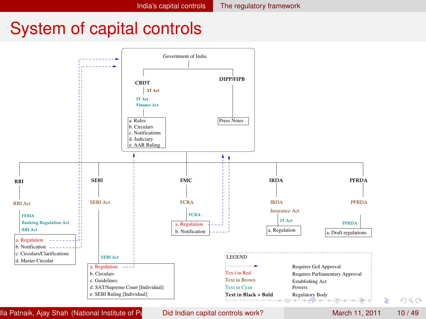#### System of capital controls



[Ila Patnaik,](http://openlib.org/home/ila) [Ajay Shah](http://www.mayin.org/ajayshah) (National Institute of Public Polic Indian capital controls work? March 11, 2011 10 / 49

<span id="page-9-0"></span>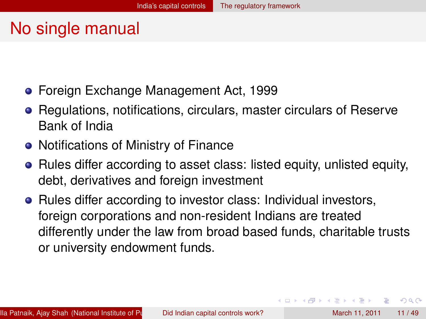### No single manual

- **Foreign Exchange Management Act, 1999**
- Regulations, notifications, circulars, master circulars of Reserve Bank of India
- Notifications of Ministry of Finance
- Rules differ according to asset class: listed equity, unlisted equity, debt, derivatives and foreign investment
- Rules differ according to investor class: Individual investors, foreign corporations and non-resident Indians are treated differently under the law from broad based funds, charitable trusts or university endowment funds.

<span id="page-10-0"></span> $\Omega$ 

**REPAREM** 

 $\overline{AB}$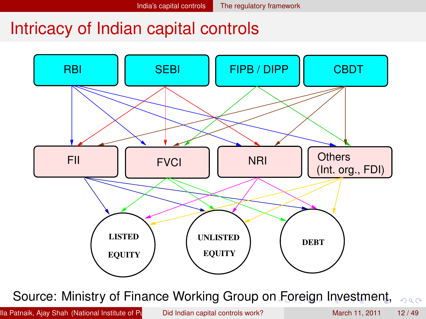#### Intricacy of Indian capital controls



Source: Ministry of Finance Working Group o[n F](#page-10-0)[or](#page-12-0)[e](#page-10-0)[ig](#page-11-0)[n](#page-12-0) [I](#page-7-0)[n](#page-8-0)[v](#page-19-0)[e](#page-20-0)[s](#page-4-0)[t](#page-5-0)[m](#page-19-0)[en](#page-0-0)[t,](#page-52-0)  $QQ$ 

[Ila Patnaik,](http://openlib.org/home/ila) [Ajay Shah](http://www.mayin.org/ajayshah) (National Institute of Public Polic Indian capital controls work? March 11, 2011 12 / 49

<span id="page-11-0"></span>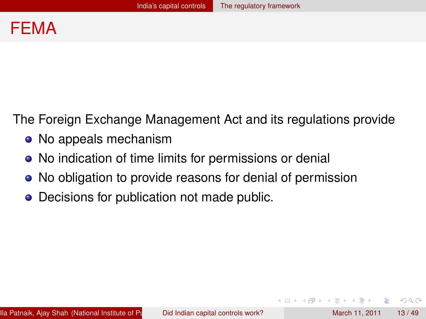

The Foreign Exchange Management Act and its regulations provide

- No appeals mechanism
- No indication of time limits for permissions or denial
- No obligation to provide reasons for denial of permission
- Decisions for publication not made public.

<span id="page-12-0"></span> $\Omega$ 

化重氮化重氮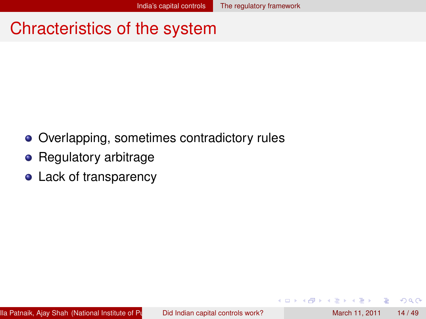### Chracteristics of the system

- Overlapping, sometimes contradictory rules
- Regulatory arbitrage
- <span id="page-13-0"></span>• Lack of transparency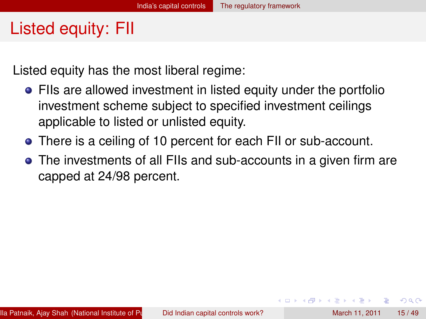# Listed equity: FII

Listed equity has the most liberal regime:

- FIIs are allowed investment in listed equity under the portfolio investment scheme subject to specified investment ceilings applicable to listed or unlisted equity.
- There is a ceiling of 10 percent for each FII or sub-account.
- The investments of all FIIs and sub-accounts in a given firm are capped at 24/98 percent.

<span id="page-14-0"></span> $\Omega$ 

**REPARE**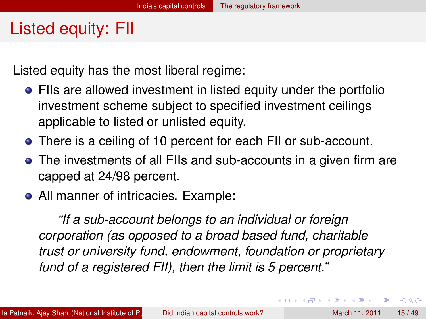# Listed equity: FII

Listed equity has the most liberal regime:

- FIIs are allowed investment in listed equity under the portfolio investment scheme subject to specified investment ceilings applicable to listed or unlisted equity.
- There is a ceiling of 10 percent for each FII or sub-account.
- The investments of all FIIs and sub-accounts in a given firm are capped at 24/98 percent.
- All manner of intricacies. Example:

*"If a sub-account belongs to an individual or foreign corporation (as opposed to a broad based fund, charitable trust or university fund, endowment, foundation or proprietary fund of a registered FII), then the limit is 5 percent."*

E

<span id="page-15-0"></span> $\Omega$ 

 $(0,1)$   $(0,1)$   $(0,1)$   $(1,1)$   $(1,1)$   $(1,1)$   $(1,1)$   $(1,1)$   $(1,1)$   $(1,1)$   $(1,1)$   $(1,1)$   $(1,1)$   $(1,1)$   $(1,1)$   $(1,1)$   $(1,1)$   $(1,1)$   $(1,1)$   $(1,1)$   $(1,1)$   $(1,1)$   $(1,1)$   $(1,1)$   $(1,1)$   $(1,1)$   $(1,1)$   $(1,1$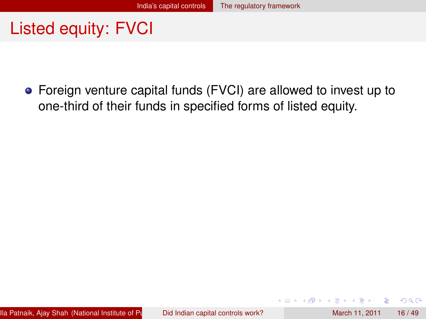## Listed equity: FVCI

Foreign venture capital funds (FVCI) are allowed to invest up to one-third of their funds in specified forms of listed equity.

<span id="page-16-0"></span> $\Omega$ 

医下半面

 $\leftarrow$   $\Box$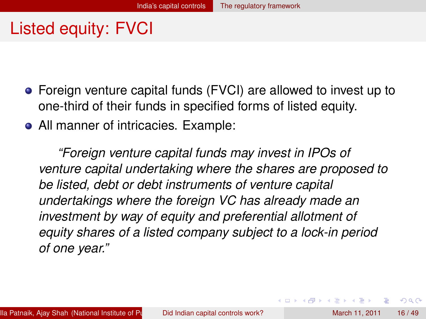# Listed equity: FVCI

- Foreign venture capital funds (FVCI) are allowed to invest up to one-third of their funds in specified forms of listed equity.
- All manner of intricacies. Example:

*"Foreign venture capital funds may invest in IPOs of venture capital undertaking where the shares are proposed to be listed, debt or debt instruments of venture capital undertakings where the foreign VC has already made an investment by way of equity and preferential allotment of equity shares of a listed company subject to a lock-in period of one year."*

<span id="page-17-0"></span> $\Omega$ 

イロト イ押 トイラト イラト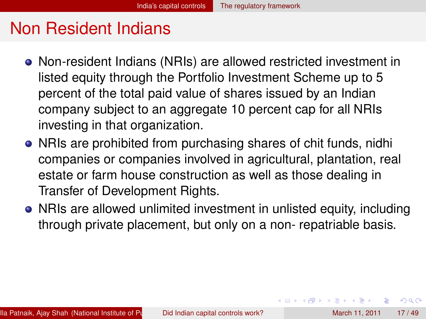### Non Resident Indians

- Non-resident Indians (NRIs) are allowed restricted investment in listed equity through the Portfolio Investment Scheme up to 5 percent of the total paid value of shares issued by an Indian company subject to an aggregate 10 percent cap for all NRIs investing in that organization.
- NRIs are prohibited from purchasing shares of chit funds, nidhi companies or companies involved in agricultural, plantation, real estate or farm house construction as well as those dealing in Transfer of Development Rights.
- NRIs are allowed unlimited investment in unlisted equity, including through private placement, but only on a non- repatriable basis.

<span id="page-18-0"></span> $\Omega$ 

(ロトイ部)→(理)→(理)→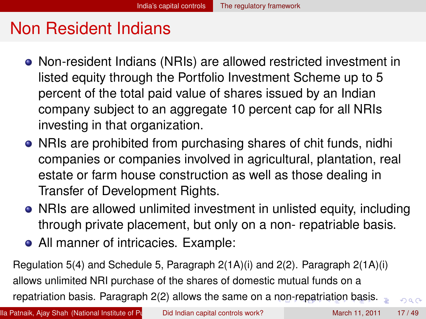### Non Resident Indians

- Non-resident Indians (NRIs) are allowed restricted investment in listed equity through the Portfolio Investment Scheme up to 5 percent of the total paid value of shares issued by an Indian company subject to an aggregate 10 percent cap for all NRIs investing in that organization.
- NRIs are prohibited from purchasing shares of chit funds, nidhi companies or companies involved in agricultural, plantation, real estate or farm house construction as well as those dealing in Transfer of Development Rights.
- NRIs are allowed unlimited investment in unlisted equity, including through private placement, but only on a non- repatriable basis.
- <span id="page-19-0"></span>• All manner of intricacies. Example:

Regulation 5(4) and Schedule 5, Paragraph 2(1A)(i) and 2(2). Paragraph 2(1A)(i) allows unlimited NRI purchase of the shares of domestic mutual funds on a repatriation basis. Paragraph 2(2) allows the same on a [no](#page-18-0)[n-r](#page-20-0)[e](#page-17-0)[p](#page-18-0)[at](#page-19-0)[ri](#page-20-0)[a](#page-7-0)[ti](#page-8-0)[o](#page-19-0)[n](#page-20-0) [b](#page-4-0)[a](#page-5-0)[s](#page-19-0)[is](#page-20-0)[.](#page-0-0)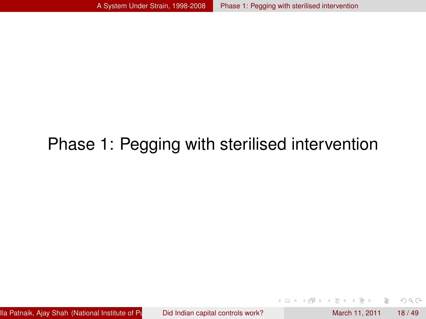# Phase 1: Pegging with sterilised intervention

[Ila Patnaik,](http://openlib.org/home/ila) [Ajay Shah](http://www.mayin.org/ajayshah) (National Institute of Public Finance apital controls work? March 11, 2011 18 / 49

4.000.00

<span id="page-20-0"></span> $299$ 

The South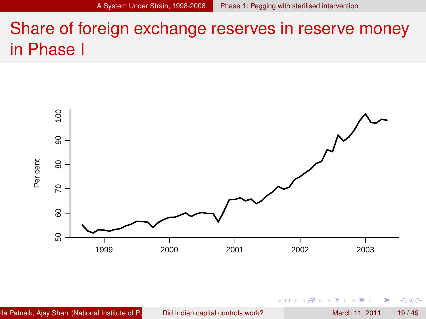# Share of foreign exchange reserves in reserve money in Phase I

<span id="page-21-0"></span>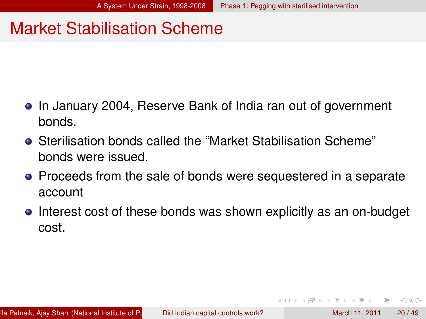#### Market Stabilisation Scheme

- **•** In January 2004, Reserve Bank of India ran out of government bonds.
- Sterilisation bonds called the "Market Stabilisation Scheme" bonds were issued.
- Proceeds from the sale of bonds were sequestered in a separate account
- <span id="page-22-0"></span>• Interest cost of these bonds was shown explicitly as an on-budget cost.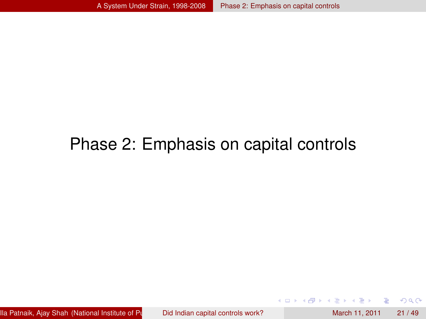#### Phase 2: Emphasis on capital controls

[Ila Patnaik,](http://openlib.org/home/ila) [Ajay Shah](http://www.mayin.org/ajayshah) (National Institute of Public Finance apital controls work? March 11, 2011 21 / 49

4 0 8 1  $\leftarrow$   $\leftarrow$   $\leftarrow$  Þ

<span id="page-23-0"></span> $299$ 

Bara B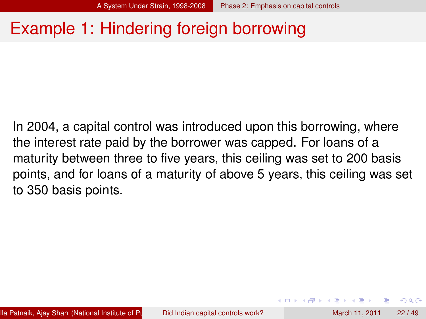### Example 1: Hindering foreign borrowing

In 2004, a capital control was introduced upon this borrowing, where the interest rate paid by the borrower was capped. For loans of a maturity between three to five years, this ceiling was set to 200 basis points, and for loans of a maturity of above 5 years, this ceiling was set to 350 basis points.

<span id="page-24-0"></span> $\Omega$ 

**A BAKEN**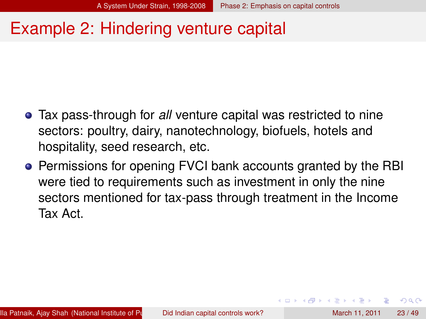#### Example 2: Hindering venture capital

- Tax pass-through for *all* venture capital was restricted to nine sectors: poultry, dairy, nanotechnology, biofuels, hotels and hospitality, seed research, etc.
- **•** Permissions for opening FVCI bank accounts granted by the RBI were tied to requirements such as investment in only the nine sectors mentioned for tax-pass through treatment in the Income Tax Act.

<span id="page-25-0"></span> $\Omega$ 

医下す 医下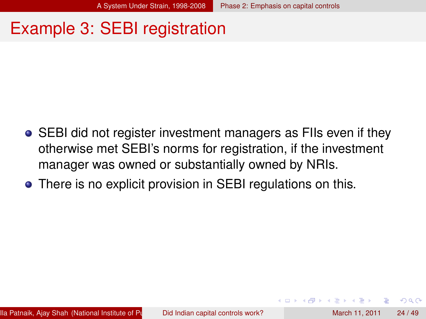### Example 3: SEBI registration

- **•** SEBI did not register investment managers as FIIs even if they otherwise met SEBI's norms for registration, if the investment manager was owned or substantially owned by NRIs.
- There is no explicit provision in SEBI regulations on this.

<span id="page-26-0"></span>[Ila Patnaik,](http://openlib.org/home/ila) [Ajay Shah](http://www.mayin.org/ajayshah) (National Institute of Public Finance apital controls work? March 11, 2011 24 / 49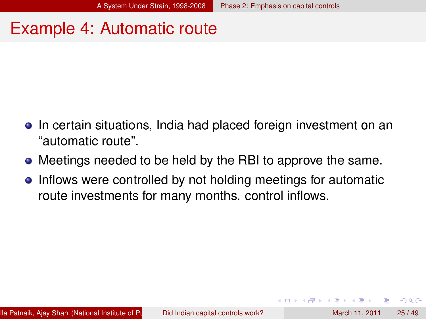### Example 4: Automatic route

- **•** In certain situations, India had placed foreign investment on an "automatic route".
- Meetings needed to be held by the RBI to approve the same.
- Inflows were controlled by not holding meetings for automatic route investments for many months. control inflows.

<span id="page-27-0"></span> $\Omega$ 

 $\mathcal{A} \subset \mathbb{R}^n \times \mathcal{A} \subset \mathbb{R}^n \times \mathcal{A}$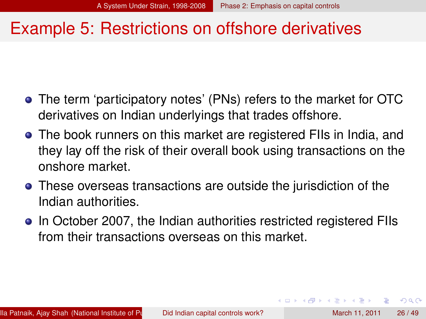#### Example 5: Restrictions on offshore derivatives

- The term 'participatory notes' (PNs) refers to the market for OTC derivatives on Indian underlyings that trades offshore.
- The book runners on this market are registered FIIs in India, and they lay off the risk of their overall book using transactions on the onshore market.
- These overseas transactions are outside the jurisdiction of the Indian authorities.
- In October 2007, the Indian authorities restricted registered FIIs from their transactions overseas on this market.

<span id="page-28-0"></span> $\Omega$ 

化重氮化重氮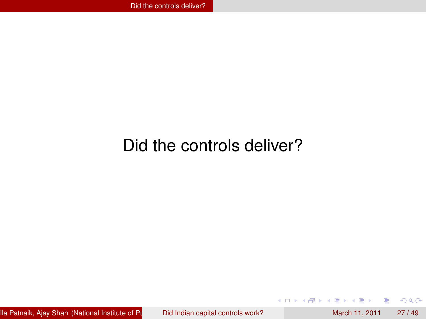# Did the controls deliver?

[Ila Patnaik,](http://openlib.org/home/ila) [Ajay Shah](http://www.mayin.org/ajayshah) (National Institute of Public Finance apital controls work? March 11, 2011 27 / 49

 $\sim$ 

в

<span id="page-29-0"></span> $299$ 

 $4 \times 1 + 4$   $60 + 4 = 1 + 4 =$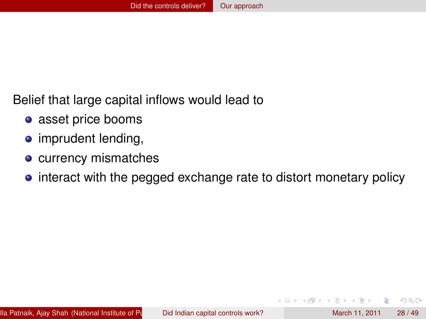Belief that large capital inflows would lead to

- asset price booms
- imprudent lending,
- **o** currency mismatches
- <span id="page-30-0"></span>• interact with the pegged exchange rate to distort monetary policy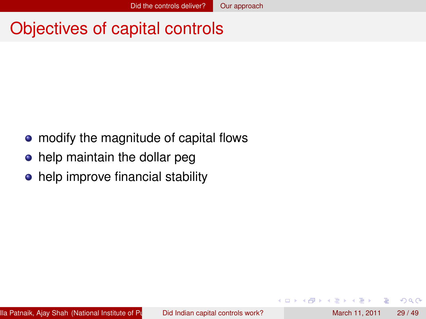## Objectives of capital controls

- modify the magnitude of capital flows
- help maintain the dollar peg
- <span id="page-31-0"></span>• help improve financial stability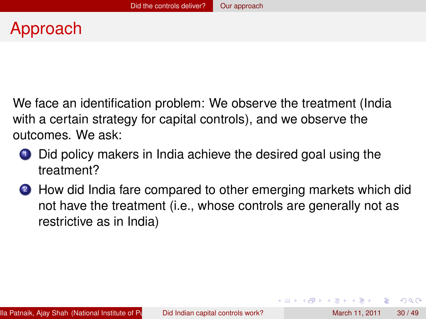We face an identification problem: We observe the treatment (India with a certain strategy for capital controls), and we observe the outcomes. We ask:

- <sup>1</sup> Did policy makers in India achieve the desired goal using the treatment?
- <sup>2</sup> How did India fare compared to other emerging markets which did not have the treatment (i.e., whose controls are generally not as restrictive as in India)

<span id="page-32-0"></span> $\Omega$ 

イロト イ押 トイラト イラト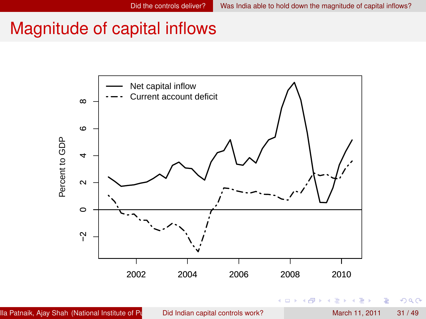<span id="page-33-0"></span> $299$ 

### Magnitude of capital inflows

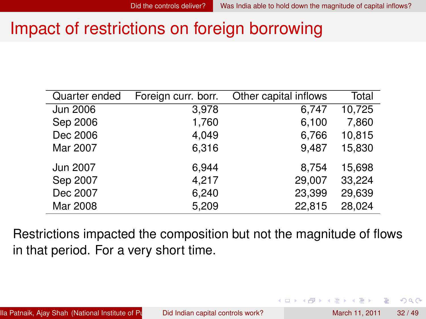### Impact of restrictions on foreign borrowing

| Quarter ended | Foreign curr. borr. | Other capital inflows | Total  |
|---------------|---------------------|-----------------------|--------|
| Jun 2006      | 3,978               | 6,747                 | 10,725 |
| Sep 2006      | 1,760               | 6,100                 | 7,860  |
| Dec 2006      | 4,049               | 6,766                 | 10,815 |
| Mar 2007      | 6,316               | 9.487                 | 15,830 |
| Jun 2007      | 6,944               | 8,754                 | 15,698 |
| Sep 2007      | 4,217               | 29,007                | 33,224 |
| Dec 2007      | 6,240               | 23,399                | 29,639 |
| Mar 2008      | 5,209               | 22,815                | 28,024 |

<span id="page-34-0"></span>Restrictions impacted the composition but not the magnitude of flows in that period. For a very short time.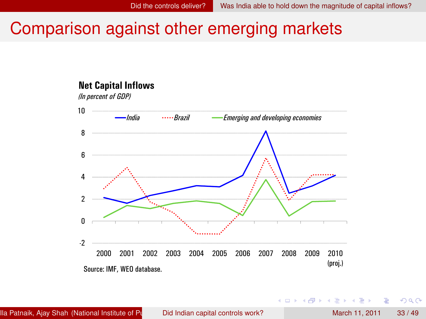### Comparison against other emerging markets



[Ila Patnaik,](http://openlib.org/home/ila) [Ajay Shah](http://www.mayin.org/ajayshah) (National Institute of Public Polic Indian capital controls work? March 11, 2011 33 / 49

**Braker** 

A T

<span id="page-35-0"></span> $QQ$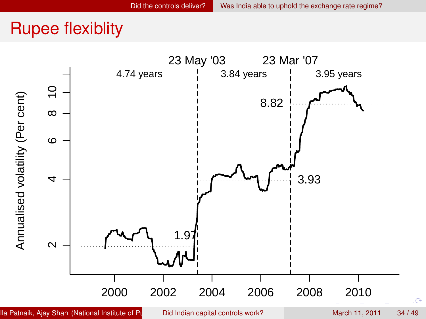#### <span id="page-36-0"></span>Rupee flexiblity

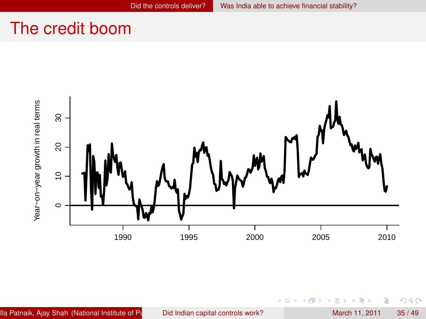#### The credit boom



 $-0.11 - 1.5$ ×. 画  $\sim$ 

Ξ

重

<span id="page-37-0"></span> $299$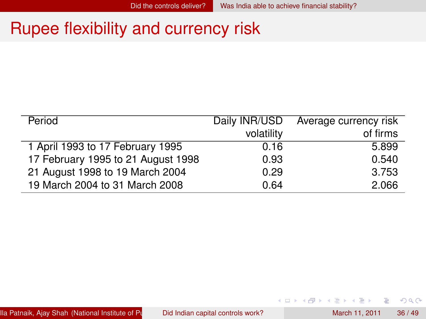#### Rupee flexibility and currency risk

| Period                             | Daily INR/USD | Average currency risk |
|------------------------------------|---------------|-----------------------|
|                                    | volatility    | of firms              |
| 1 April 1993 to 17 February 1995   | 0.16          | 5.899                 |
| 17 February 1995 to 21 August 1998 | 0.93          | 0.540                 |
| 21 August 1998 to 19 March 2004    | 0.29          | 3.753                 |
| 19 March 2004 to 31 March 2008     | 0.64          | 2.066                 |

重

<span id="page-38-0"></span> $299$ 

 $(0,1)$   $(0,1)$   $(0,1)$   $(1,1)$   $(1,1)$   $(1,1)$   $(1,1)$   $(1,1)$   $(1,1)$   $(1,1)$   $(1,1)$   $(1,1)$   $(1,1)$   $(1,1)$   $(1,1)$   $(1,1)$   $(1,1)$   $(1,1)$   $(1,1)$   $(1,1)$   $(1,1)$   $(1,1)$   $(1,1)$   $(1,1)$   $(1,1)$   $(1,1)$   $(1,1)$   $(1,1$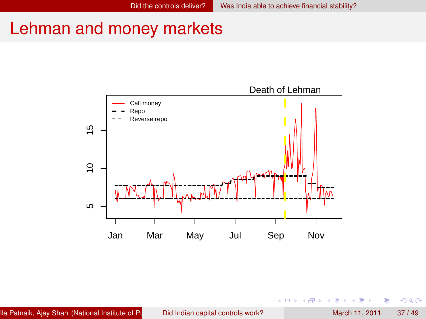#### Lehman and money markets



4 0 8

Þ

<span id="page-39-0"></span> $299$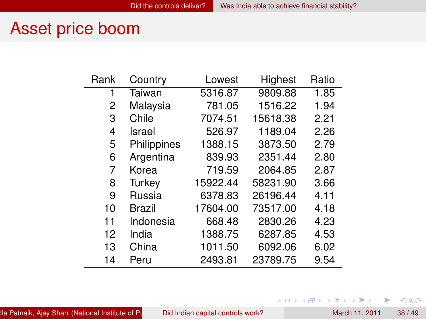#### Asset price boom

| Rank | Country       | Lowest   | Highest  | Ratio |
|------|---------------|----------|----------|-------|
| 1    | Taiwan        | 5316.87  | 9809.88  | 1.85  |
| 2    | Malaysia      | 781.05   | 1516.22  | 1.94  |
| 3    | Chile         | 7074.51  | 15618.38 | 2.21  |
| 4    | Israel        | 526.97   | 1189.04  | 2.26  |
| 5    | Philippines   | 1388.15  | 3873.50  | 2.79  |
| 6    | Argentina     | 839.93   | 2351.44  | 2.80  |
| 7    | Korea         | 719.59   | 2064.85  | 2.87  |
| 8    | Turkey        | 15922.44 | 58231.90 | 3.66  |
| 9    | Russia        | 6378.83  | 26196.44 | 4.11  |
| 10   | <b>Brazil</b> | 17604.00 | 73517.00 | 4.18  |
| 11   | Indonesia     | 668.48   | 2830.26  | 4.23  |
| 12   | India         | 1388.75  | 6287.85  | 4.53  |
| 13   | China         | 1011.50  | 6092.06  | 6.02  |
| 14   | Peru          | 2493.81  | 23789.75 | 9.54  |

[Ila Patnaik,](http://openlib.org/home/ila) [Ajay Shah](http://www.mayin.org/ajayshah) (National Institute of Public Finance apital controls work? March 11, 2011 38 / 49

重

<span id="page-40-0"></span> $299$ 

メロトメ 御 トメ 君 トメ 君 ト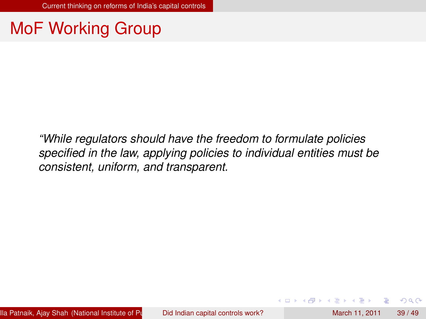### MoF Working Group

*"While regulators should have the freedom to formulate policies specified in the law, applying policies to individual entities must be consistent, uniform, and transparent.*

<span id="page-41-0"></span> $\Omega$ 

化重氮化重氮

4 ロ ト ィ *同* ト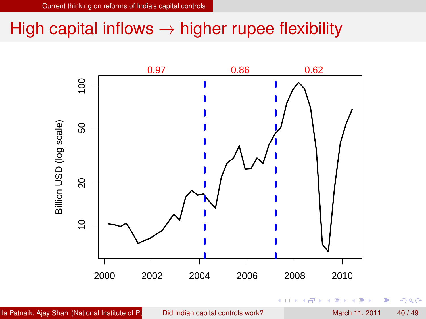#### High capital inflows  $\rightarrow$  higher rupee flexibility



<span id="page-42-0"></span> $299$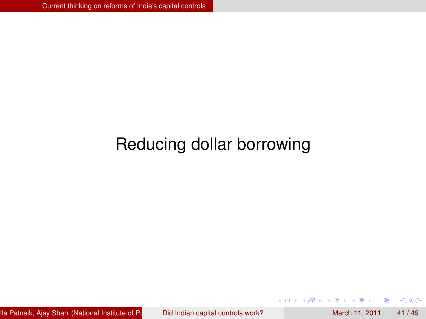# Reducing dollar borrowing

[Ila Patnaik,](http://openlib.org/home/ila) [Ajay Shah](http://www.mayin.org/ajayshah) (National Institute of Public Polic Indian capital controls work? March 11, 2011 41/49

4 0 8

 $\overline{AB}$ 

ъ

Þ

<span id="page-43-0"></span> $299$ 

 $\sim$ 

∍  $\sim$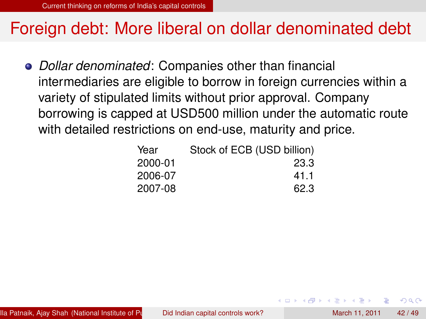#### Foreign debt: More liberal on dollar denominated debt

*Dollar denominated*: Companies other than financial intermediaries are eligible to borrow in foreign currencies within a variety of stipulated limits without prior approval. Company borrowing is capped at USD500 million under the automatic route with detailed restrictions on end-use, maturity and price.

<span id="page-44-0"></span>

| Year    | Stock of ECB (USD billion) |
|---------|----------------------------|
| 2000-01 | 23.3                       |
| 2006-07 | 41.1                       |
| 2007-08 | 62.3                       |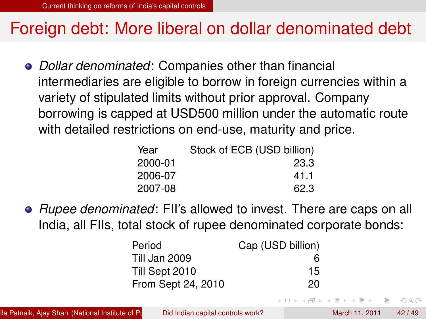#### Foreign debt: More liberal on dollar denominated debt

*Dollar denominated*: Companies other than financial intermediaries are eligible to borrow in foreign currencies within a variety of stipulated limits without prior approval. Company borrowing is capped at USD500 million under the automatic route with detailed restrictions on end-use, maturity and price.

| Stock of ECB (USD billion) |
|----------------------------|
| 23.3                       |
| 41.1                       |
| 62.3                       |
|                            |

*Rupee denominated*: FII's allowed to invest. There are caps on all India, all FIIs, total stock of rupee denominated corporate bonds:

| Period             | Cap (USD billion) |
|--------------------|-------------------|
| Till Jan 2009      | 6                 |
| Till Sept 2010     | 15                |
| From Sept 24, 2010 | 20                |

<span id="page-45-0"></span> $\Omega$ 

ヨメ イヨメ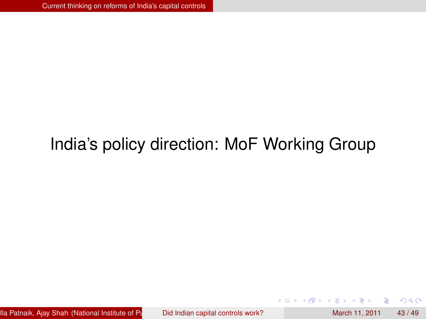# India's policy direction: MoF Working Group

[Ila Patnaik,](http://openlib.org/home/ila) [Ajay Shah](http://www.mayin.org/ajayshah) (National Institute of Public Finance apital controls work? March 11, 2011 43 / 49

4 0 8

 $\leftarrow$   $\leftarrow$   $\leftarrow$ 

<span id="page-46-0"></span> $298$ 

医心理学

÷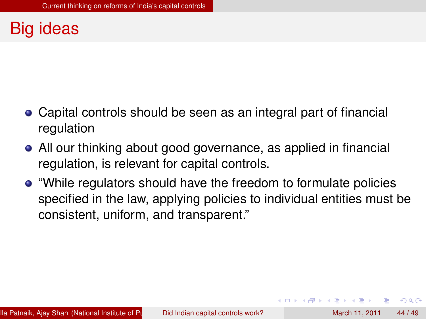# Big ideas

- Capital controls should be seen as an integral part of financial regulation
- All our thinking about good governance, as applied in financial regulation, is relevant for capital controls.
- "While regulators should have the freedom to formulate policies specified in the law, applying policies to individual entities must be consistent, uniform, and transparent."

<span id="page-47-0"></span> $\Omega$ 

**A BAKEY**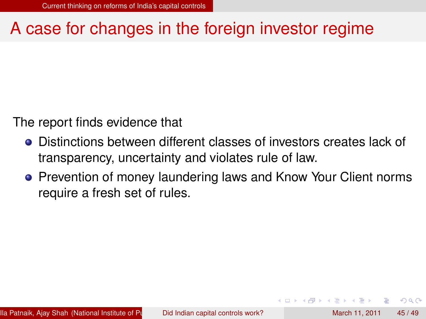### A case for changes in the foreign investor regime

The report finds evidence that

- Distinctions between different classes of investors creates lack of transparency, uncertainty and violates rule of law.
- **Prevention of money laundering laws and Know Your Client norms** require a fresh set of rules.

<span id="page-48-0"></span>[Ila Patnaik,](http://openlib.org/home/ila) [Ajay Shah](http://www.mayin.org/ajayshah) (National Institute of Public Finance apital controls work? March 11, 2011 45 / 49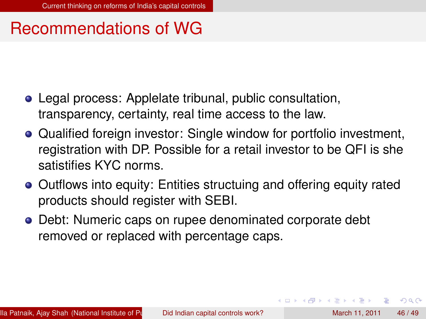#### Recommendations of WG

- Legal process: Applelate tribunal, public consultation, transparency, certainty, real time access to the law.
- Qualified foreign investor: Single window for portfolio investment, registration with DP. Possible for a retail investor to be QFI is she satistifies KYC norms.
- Outflows into equity: Entities structuing and offering equity rated products should register with SEBI.
- Debt: Numeric caps on rupee denominated corporate debt removed or replaced with percentage caps.

<span id="page-49-0"></span> $\Omega$ 

イロト イ押 トイラト イラト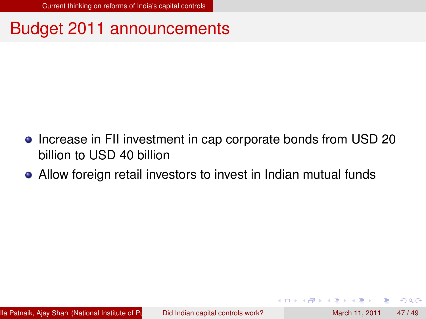### Budget 2011 announcements

- Increase in FII investment in cap corporate bonds from USD 20 billion to USD 40 billion
- Allow foreign retail investors to invest in Indian mutual funds

<span id="page-50-0"></span> $\Omega$ 

 $\mathbf{A} \equiv \mathbf{A} \times \mathbf{A} \equiv \mathbf{A}$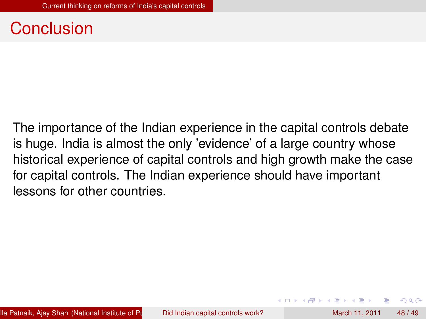#### Conclusion

The importance of the Indian experience in the capital controls debate is huge. India is almost the only 'evidence' of a large country whose historical experience of capital controls and high growth make the case for capital controls. The Indian experience should have important lessons for other countries.

<span id="page-51-0"></span> $\Omega$ 

化重氮化重氮